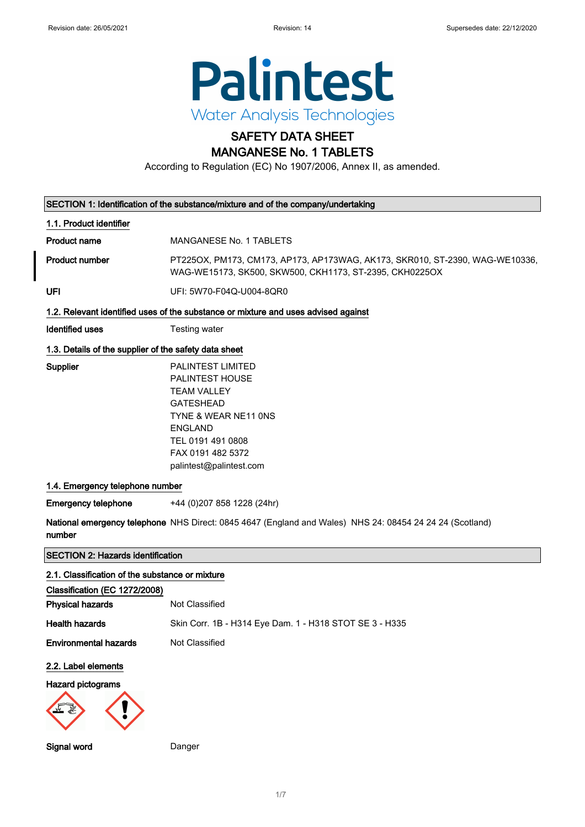

# SAFETY DATA SHEET

MANGANESE No. 1 TABLETS

According to Regulation (EC) No 1907/2006, Annex II, as amended.

|                                                       | SECTION 1: Identification of the substance/mixture and of the company/undertaking                                                                                                                    |
|-------------------------------------------------------|------------------------------------------------------------------------------------------------------------------------------------------------------------------------------------------------------|
| 1.1. Product identifier                               |                                                                                                                                                                                                      |
| <b>Product name</b>                                   | <b>MANGANESE No. 1 TABLETS</b>                                                                                                                                                                       |
| <b>Product number</b>                                 | PT225OX, PM173, CM173, AP173, AP173WAG, AK173, SKR010, ST-2390, WAG-WE10336,<br>WAG-WE15173, SK500, SKW500, CKH1173, ST-2395, CKH0225OX                                                              |
| UFI                                                   | UFI: 5W70-F04Q-U004-8QR0                                                                                                                                                                             |
|                                                       | 1.2. Relevant identified uses of the substance or mixture and uses advised against                                                                                                                   |
| <b>Identified uses</b>                                | Testing water                                                                                                                                                                                        |
| 1.3. Details of the supplier of the safety data sheet |                                                                                                                                                                                                      |
| Supplier                                              | PALINTEST LIMITED<br><b>PALINTEST HOUSE</b><br><b>TEAM VALLEY</b><br><b>GATESHEAD</b><br>TYNE & WEAR NE11 ONS<br><b>ENGLAND</b><br>TEL 0191 491 0808<br>FAX 0191 482 5372<br>palintest@palintest.com |
| 1.4. Emergency telephone number                       |                                                                                                                                                                                                      |
| <b>Emergency telephone</b>                            | +44 (0) 207 858 1228 (24hr)                                                                                                                                                                          |
| number                                                | National emergency telephone NHS Direct: 0845 4647 (England and Wales) NHS 24: 08454 24 24 24 (Scotland)                                                                                             |
| <b>SECTION 2: Hazards identification</b>              |                                                                                                                                                                                                      |
| 2.1. Classification of the substance or mixture       |                                                                                                                                                                                                      |
| Classification (EC 1272/2008)                         |                                                                                                                                                                                                      |
| <b>Physical hazards</b>                               | Not Classified                                                                                                                                                                                       |
| <b>Health hazards</b>                                 | Skin Corr. 1B - H314 Eye Dam. 1 - H318 STOT SE 3 - H335                                                                                                                                              |
| <b>Environmental hazards</b>                          | Not Classified                                                                                                                                                                                       |
| 2.2. Label elements                                   |                                                                                                                                                                                                      |
| Hazard pictograms                                     |                                                                                                                                                                                                      |
| Signal word                                           | Danger                                                                                                                                                                                               |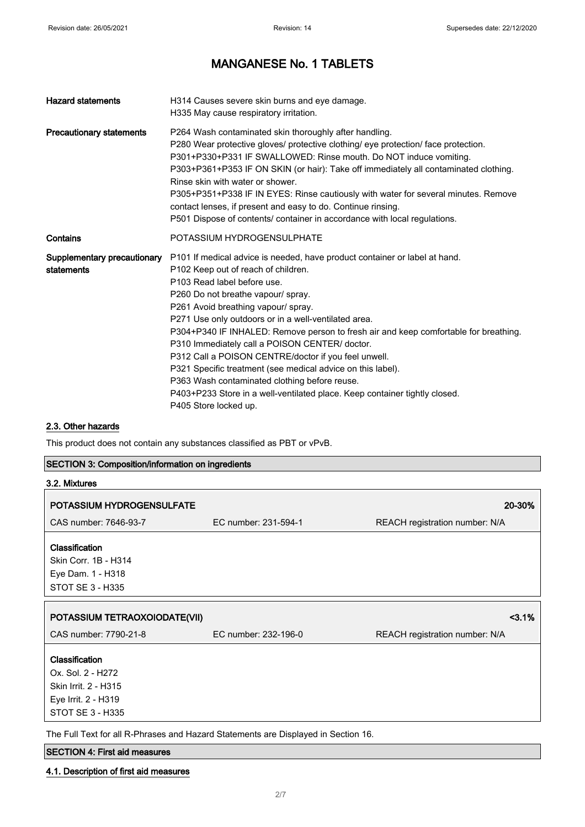| <b>Hazard statements</b>                  | H314 Causes severe skin burns and eye damage.<br>H335 May cause respiratory irritation.                                                                                                                                                                                                                                                                                                                                                                                                                                                                                                                                                                                                                        |
|-------------------------------------------|----------------------------------------------------------------------------------------------------------------------------------------------------------------------------------------------------------------------------------------------------------------------------------------------------------------------------------------------------------------------------------------------------------------------------------------------------------------------------------------------------------------------------------------------------------------------------------------------------------------------------------------------------------------------------------------------------------------|
| <b>Precautionary statements</b>           | P264 Wash contaminated skin thoroughly after handling.<br>P280 Wear protective gloves/ protective clothing/ eye protection/ face protection.<br>P301+P330+P331 IF SWALLOWED: Rinse mouth. Do NOT induce vomiting.<br>P303+P361+P353 IF ON SKIN (or hair): Take off immediately all contaminated clothing.<br>Rinse skin with water or shower.<br>P305+P351+P338 IF IN EYES: Rinse cautiously with water for several minutes. Remove<br>contact lenses, if present and easy to do. Continue rinsing.<br>P501 Dispose of contents/ container in accordance with local regulations.                                                                                                                               |
| Contains                                  | POTASSIUM HYDROGENSULPHATE                                                                                                                                                                                                                                                                                                                                                                                                                                                                                                                                                                                                                                                                                     |
| Supplementary precautionary<br>statements | P101 If medical advice is needed, have product container or label at hand.<br>P102 Keep out of reach of children.<br>P103 Read label before use.<br>P260 Do not breathe vapour/ spray.<br>P261 Avoid breathing vapour/ spray.<br>P271 Use only outdoors or in a well-ventilated area.<br>P304+P340 IF INHALED: Remove person to fresh air and keep comfortable for breathing.<br>P310 Immediately call a POISON CENTER/ doctor.<br>P312 Call a POISON CENTRE/doctor if you feel unwell.<br>P321 Specific treatment (see medical advice on this label).<br>P363 Wash contaminated clothing before reuse.<br>P403+P233 Store in a well-ventilated place. Keep container tightly closed.<br>P405 Store locked up. |

### 2.3. Other hazards

This product does not contain any substances classified as PBT or vPvB.

### SECTION 3: Composition/information on ingredients

| 3.2. Mixtures                                                                                                        |                      |                                |
|----------------------------------------------------------------------------------------------------------------------|----------------------|--------------------------------|
| POTASSIUM HYDROGENSULFATE                                                                                            |                      | 20-30%                         |
| CAS number: 7646-93-7                                                                                                | EC number: 231-594-1 | REACH registration number: N/A |
| <b>Classification</b><br>Skin Corr. 1B - H314<br>Eye Dam. 1 - H318<br>STOT SE 3 - H335                               |                      |                                |
| POTASSIUM TETRAOXOIODATE(VII)                                                                                        |                      | 3.1%                           |
| CAS number: 7790-21-8                                                                                                | EC number: 232-196-0 | REACH registration number: N/A |
| <b>Classification</b><br>Ox. Sol. 2 - H272<br>Skin Irrit. 2 - H315<br>Eye Irrit. 2 - H319<br><b>STOT SE 3 - H335</b> |                      |                                |

The Full Text for all R-Phrases and Hazard Statements are Displayed in Section 16.

### SECTION 4: First aid measures

### 4.1. Description of first aid measures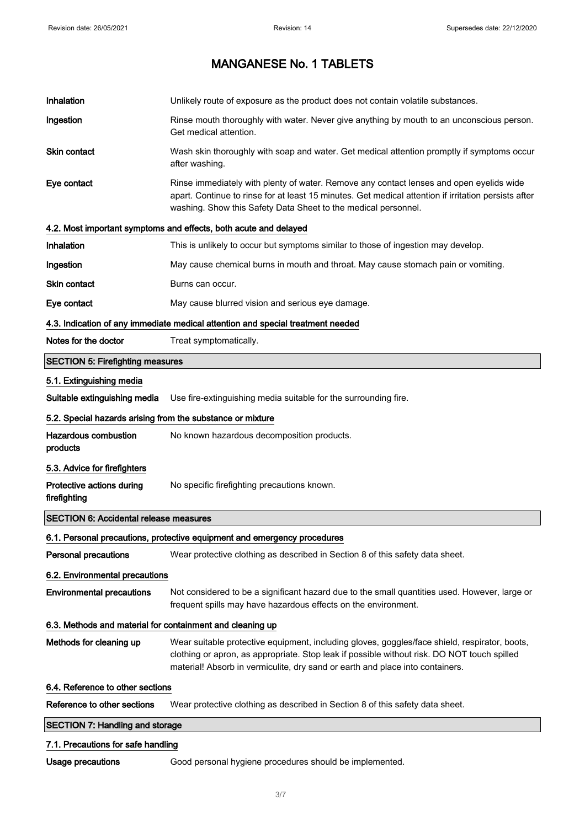| Inhalation                                                 | Unlikely route of exposure as the product does not contain volatile substances.                                                                                                                                                                                               |
|------------------------------------------------------------|-------------------------------------------------------------------------------------------------------------------------------------------------------------------------------------------------------------------------------------------------------------------------------|
| Ingestion                                                  | Rinse mouth thoroughly with water. Never give anything by mouth to an unconscious person.<br>Get medical attention.                                                                                                                                                           |
| <b>Skin contact</b>                                        | Wash skin thoroughly with soap and water. Get medical attention promptly if symptoms occur<br>after washing.                                                                                                                                                                  |
| Eye contact                                                | Rinse immediately with plenty of water. Remove any contact lenses and open eyelids wide<br>apart. Continue to rinse for at least 15 minutes. Get medical attention if irritation persists after<br>washing. Show this Safety Data Sheet to the medical personnel.             |
|                                                            | 4.2. Most important symptoms and effects, both acute and delayed                                                                                                                                                                                                              |
| Inhalation                                                 | This is unlikely to occur but symptoms similar to those of ingestion may develop.                                                                                                                                                                                             |
| Ingestion                                                  | May cause chemical burns in mouth and throat. May cause stomach pain or vomiting.                                                                                                                                                                                             |
| Skin contact                                               | Burns can occur.                                                                                                                                                                                                                                                              |
| Eye contact                                                | May cause blurred vision and serious eye damage.                                                                                                                                                                                                                              |
|                                                            | 4.3. Indication of any immediate medical attention and special treatment needed                                                                                                                                                                                               |
| Notes for the doctor                                       | Treat symptomatically.                                                                                                                                                                                                                                                        |
| <b>SECTION 5: Firefighting measures</b>                    |                                                                                                                                                                                                                                                                               |
| 5.1. Extinguishing media                                   |                                                                                                                                                                                                                                                                               |
| Suitable extinguishing media                               | Use fire-extinguishing media suitable for the surrounding fire.                                                                                                                                                                                                               |
| 5.2. Special hazards arising from the substance or mixture |                                                                                                                                                                                                                                                                               |
| <b>Hazardous combustion</b><br>products                    | No known hazardous decomposition products.                                                                                                                                                                                                                                    |
| 5.3. Advice for firefighters                               |                                                                                                                                                                                                                                                                               |
| Protective actions during<br>firefighting                  | No specific firefighting precautions known.                                                                                                                                                                                                                                   |
| <b>SECTION 6: Accidental release measures</b>              |                                                                                                                                                                                                                                                                               |
|                                                            | 6.1. Personal precautions, protective equipment and emergency procedures                                                                                                                                                                                                      |
| <b>Personal precautions</b>                                | Wear protective clothing as described in Section 8 of this safety data sheet.                                                                                                                                                                                                 |
| 6.2. Environmental precautions                             |                                                                                                                                                                                                                                                                               |
| <b>Environmental precautions</b>                           | Not considered to be a significant hazard due to the small quantities used. However, large or<br>frequent spills may have hazardous effects on the environment.                                                                                                               |
| 6.3. Methods and material for containment and cleaning up  |                                                                                                                                                                                                                                                                               |
| Methods for cleaning up                                    | Wear suitable protective equipment, including gloves, goggles/face shield, respirator, boots,<br>clothing or apron, as appropriate. Stop leak if possible without risk. DO NOT touch spilled<br>material! Absorb in vermiculite, dry sand or earth and place into containers. |
| 6.4. Reference to other sections                           |                                                                                                                                                                                                                                                                               |
| Reference to other sections                                | Wear protective clothing as described in Section 8 of this safety data sheet.                                                                                                                                                                                                 |
| <b>SECTION 7: Handling and storage</b>                     |                                                                                                                                                                                                                                                                               |
| 7.1. Precautions for safe handling                         |                                                                                                                                                                                                                                                                               |

Usage precautions Good personal hygiene procedures should be implemented.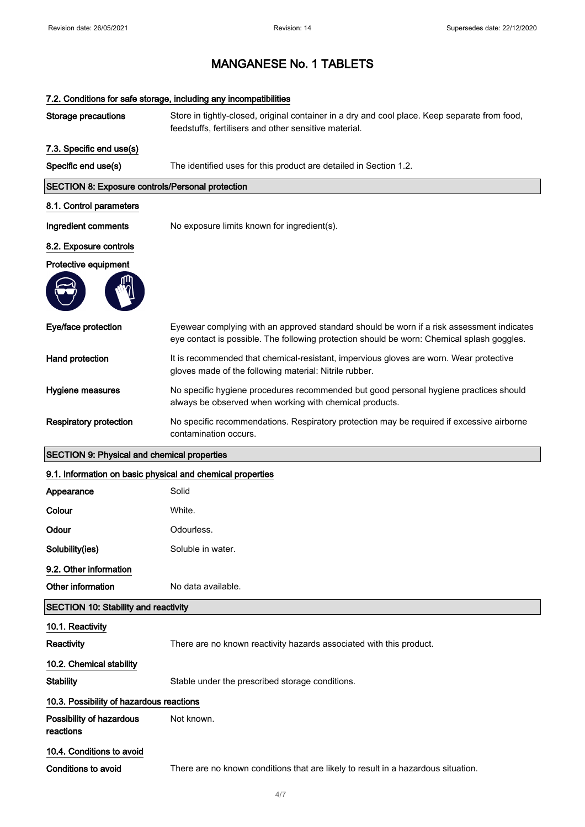|                                                            | 7.2. Conditions for safe storage, including any incompatibilities                                                                                                                       |  |
|------------------------------------------------------------|-----------------------------------------------------------------------------------------------------------------------------------------------------------------------------------------|--|
| <b>Storage precautions</b>                                 | Store in tightly-closed, original container in a dry and cool place. Keep separate from food,<br>feedstuffs, fertilisers and other sensitive material.                                  |  |
| 7.3. Specific end use(s)                                   |                                                                                                                                                                                         |  |
| Specific end use(s)                                        | The identified uses for this product are detailed in Section 1.2.                                                                                                                       |  |
| <b>SECTION 8: Exposure controls/Personal protection</b>    |                                                                                                                                                                                         |  |
| 8.1. Control parameters                                    |                                                                                                                                                                                         |  |
| Ingredient comments                                        | No exposure limits known for ingredient(s).                                                                                                                                             |  |
| 8.2. Exposure controls                                     |                                                                                                                                                                                         |  |
| Protective equipment                                       |                                                                                                                                                                                         |  |
|                                                            |                                                                                                                                                                                         |  |
| Eye/face protection                                        | Eyewear complying with an approved standard should be worn if a risk assessment indicates<br>eye contact is possible. The following protection should be worn: Chemical splash goggles. |  |
| Hand protection                                            | It is recommended that chemical-resistant, impervious gloves are worn. Wear protective<br>gloves made of the following material: Nitrile rubber.                                        |  |
| Hygiene measures                                           | No specific hygiene procedures recommended but good personal hygiene practices should<br>always be observed when working with chemical products.                                        |  |
| <b>Respiratory protection</b>                              | No specific recommendations. Respiratory protection may be required if excessive airborne<br>contamination occurs.                                                                      |  |
| <b>SECTION 9: Physical and chemical properties</b>         |                                                                                                                                                                                         |  |
| 9.1. Information on basic physical and chemical properties |                                                                                                                                                                                         |  |
| Appearance                                                 | Solid                                                                                                                                                                                   |  |
| Colour                                                     | White.                                                                                                                                                                                  |  |
| Odour                                                      | Odourless                                                                                                                                                                               |  |
| Solubility(ies)                                            | Soluble in water.                                                                                                                                                                       |  |
| 9.2. Other information                                     |                                                                                                                                                                                         |  |
| Other information                                          | No data available.                                                                                                                                                                      |  |
| <b>SECTION 10: Stability and reactivity</b>                |                                                                                                                                                                                         |  |
| 10.1. Reactivity                                           |                                                                                                                                                                                         |  |
| Reactivity                                                 | There are no known reactivity hazards associated with this product.                                                                                                                     |  |
| 10.2. Chemical stability                                   |                                                                                                                                                                                         |  |
| <b>Stability</b>                                           | Stable under the prescribed storage conditions.                                                                                                                                         |  |
| 10.3. Possibility of hazardous reactions                   |                                                                                                                                                                                         |  |
| Possibility of hazardous<br>reactions                      | Not known.                                                                                                                                                                              |  |
|                                                            |                                                                                                                                                                                         |  |
| 10.4. Conditions to avoid                                  |                                                                                                                                                                                         |  |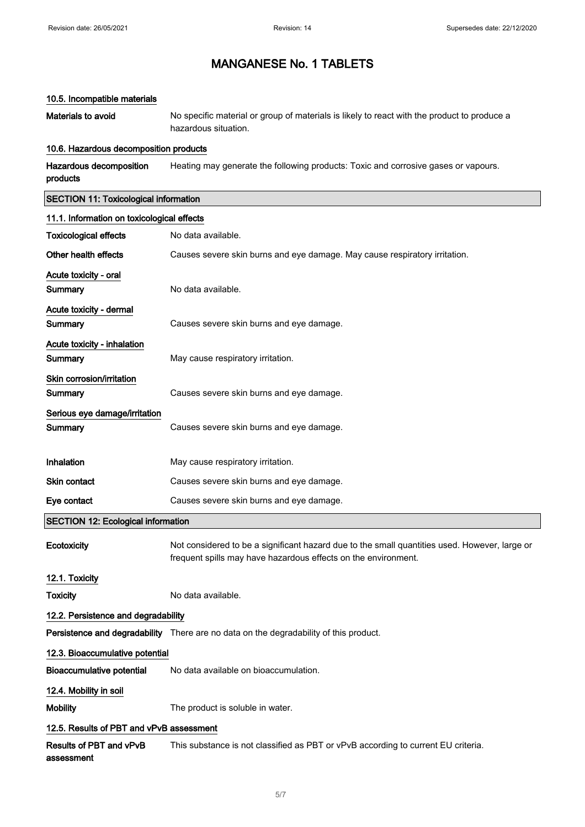#### 10.5. Incompatible materials

Materials to avoid No specific material or group of materials is likely to react with the product to produce a hazardous situation.

#### 10.6. Hazardous decomposition products

Hazardous decomposition products Heating may generate the following products: Toxic and corrosive gases or vapours.

### SECTION 11: Toxicological information

| 11.1. Information on toxicological effects |                                                                                                                                                                 |
|--------------------------------------------|-----------------------------------------------------------------------------------------------------------------------------------------------------------------|
| <b>Toxicological effects</b>               | No data available.                                                                                                                                              |
| Other health effects                       | Causes severe skin burns and eye damage. May cause respiratory irritation.                                                                                      |
| Acute toxicity - oral                      |                                                                                                                                                                 |
| Summary                                    | No data available.                                                                                                                                              |
| Acute toxicity - dermal                    |                                                                                                                                                                 |
| <b>Summary</b>                             | Causes severe skin burns and eye damage.                                                                                                                        |
| Acute toxicity - inhalation                |                                                                                                                                                                 |
| Summary                                    | May cause respiratory irritation.                                                                                                                               |
| Skin corrosion/irritation                  |                                                                                                                                                                 |
| Summary                                    | Causes severe skin burns and eye damage.                                                                                                                        |
| Serious eye damage/irritation              |                                                                                                                                                                 |
| Summary                                    | Causes severe skin burns and eye damage.                                                                                                                        |
|                                            |                                                                                                                                                                 |
| Inhalation                                 | May cause respiratory irritation.                                                                                                                               |
| Skin contact                               | Causes severe skin burns and eye damage.                                                                                                                        |
|                                            |                                                                                                                                                                 |
| Eye contact                                | Causes severe skin burns and eye damage.                                                                                                                        |
| <b>SECTION 12: Ecological information</b>  |                                                                                                                                                                 |
| Ecotoxicity                                | Not considered to be a significant hazard due to the small quantities used. However, large or<br>frequent spills may have hazardous effects on the environment. |
| 12.1. Toxicity                             |                                                                                                                                                                 |
| <b>Toxicity</b>                            | No data available.                                                                                                                                              |
| 12.2. Persistence and degradability        |                                                                                                                                                                 |
|                                            | Persistence and degradability There are no data on the degradability of this product.                                                                           |
| 12.3. Bioaccumulative potential            |                                                                                                                                                                 |
| <b>Bioaccumulative potential</b>           | No data available on bioaccumulation.                                                                                                                           |
| 12.4. Mobility in soil                     |                                                                                                                                                                 |
| <b>Mobility</b>                            | The product is soluble in water.                                                                                                                                |
| 12.5. Results of PBT and vPvB assessment   |                                                                                                                                                                 |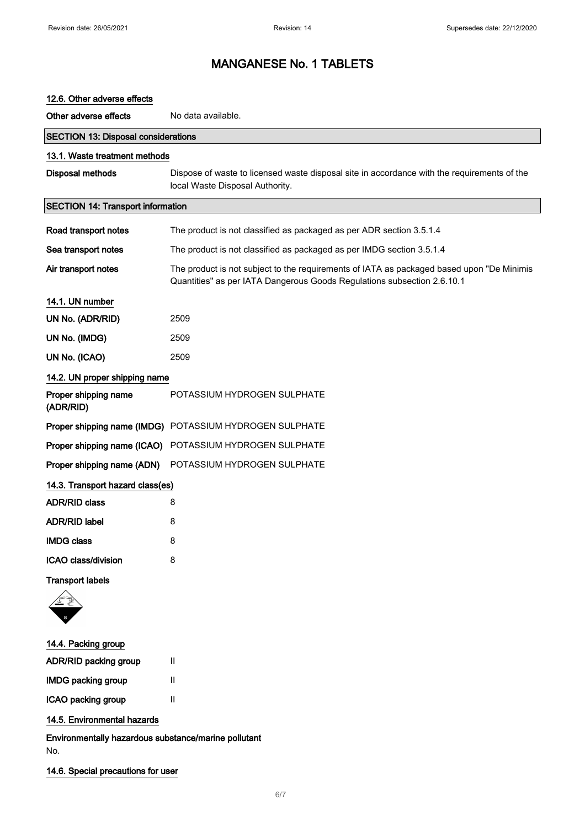| 12.6. Other adverse effects                |                                                                                                                                                                      |
|--------------------------------------------|----------------------------------------------------------------------------------------------------------------------------------------------------------------------|
| Other adverse effects                      | No data available.                                                                                                                                                   |
| <b>SECTION 13: Disposal considerations</b> |                                                                                                                                                                      |
| 13.1. Waste treatment methods              |                                                                                                                                                                      |
| Disposal methods                           | Dispose of waste to licensed waste disposal site in accordance with the requirements of the<br>local Waste Disposal Authority.                                       |
| <b>SECTION 14: Transport information</b>   |                                                                                                                                                                      |
| Road transport notes                       | The product is not classified as packaged as per ADR section 3.5.1.4                                                                                                 |
| Sea transport notes                        | The product is not classified as packaged as per IMDG section 3.5.1.4                                                                                                |
| Air transport notes                        | The product is not subject to the requirements of IATA as packaged based upon "De Minimis<br>Quantities" as per IATA Dangerous Goods Regulations subsection 2.6.10.1 |
| 14.1. UN number                            |                                                                                                                                                                      |
| UN No. (ADR/RID)                           | 2509                                                                                                                                                                 |
| UN No. (IMDG)                              | 2509                                                                                                                                                                 |
| UN No. (ICAO)                              | 2509                                                                                                                                                                 |
| 14.2. UN proper shipping name              |                                                                                                                                                                      |
| Proper shipping name<br>(ADR/RID)          | POTASSIUM HYDROGEN SULPHATE                                                                                                                                          |
|                                            | Proper shipping name (IMDG) POTASSIUM HYDROGEN SULPHATE                                                                                                              |
| Proper shipping name (ICAO)                | POTASSIUM HYDROGEN SULPHATE                                                                                                                                          |
| Proper shipping name (ADN)                 | POTASSIUM HYDROGEN SULPHATE                                                                                                                                          |
| 14.3. Transport hazard class(es)           |                                                                                                                                                                      |
| <b>ADR/RID class</b>                       | 8                                                                                                                                                                    |
| <b>ADR/RID label</b>                       | 8                                                                                                                                                                    |
| <b>IMDG class</b>                          | 8                                                                                                                                                                    |
| ICAO class/division                        | 8                                                                                                                                                                    |
| <b>Transport labels</b>                    |                                                                                                                                                                      |
|                                            |                                                                                                                                                                      |
| 14.4. Packing group                        |                                                                                                                                                                      |
| ADR/RID packing group                      | Ш                                                                                                                                                                    |
| <b>IMDG packing group</b>                  | Ш                                                                                                                                                                    |
| ICAO packing group                         | $\mathbf{H}$                                                                                                                                                         |
| 14.5. Environmental hazards                |                                                                                                                                                                      |

Environmentally hazardous substance/marine pollutant No.

### 14.6. Special precautions for user